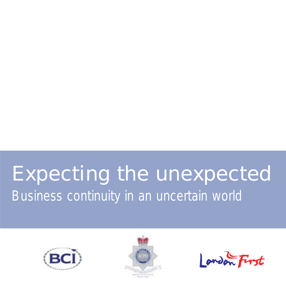## Expecting the unexpected Business continuity in an uncertain world





london First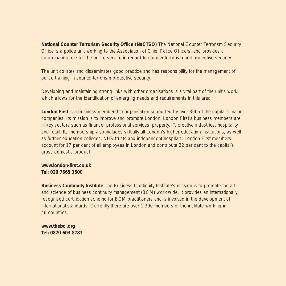**National Counter Terrorism Security Office (NaCTSO)** The National Counter Terrorism Security Office is a police unit working to the Association of Chief Police Officers, and provides a co-ordinating role for the police service in regard to counter-terrorism and protective security.

The unit collates and disseminates good practice and has responsibility for the management of police training in counter-terrorism protective security.

Developing and maintaining strong links with other organisations is a vital part of the unit's work, which allows for the identification of emerging needs and requirements in this area.

**London First** is a business membership organisation supported by over 300 of the capital's major companies. Its mission is to improve and promote London. London First's business members are in key sectors such as finance, professional services, property, IT, creative industries, hospitality and retail. Its membership also includes virtually all London's higher education institutions, as well as further education colleges, NHS trusts and independent hospitals. London First members account for 17 per cent of all employees in London and contribute 22 per cent to the capital's gross domestic product.

**www.london-first.co.uk Tel: 020 7665 1500**

**Business Continuity Institute** The Business Continuity Institute's mission is to promote the art and science of business continuity management (BCM) worldwide. It provides an internationally recognised certification scheme for BCM practitioners and is involved in the development of international standards. Currently there are over 1,300 members of the institute working in 40 countries.

**www.thebci.org Tel: 0870 603 8783**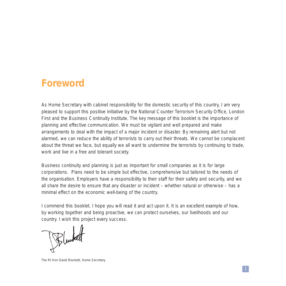### **Foreword**

As Home Secretary with cabinet responsibility for the domestic security of this country, I am very pleased to support this positive initiative by the National Counter Terrorism Security Office, London First and the Business Continuity Institute. The key message of this booklet is the importance of planning and effective communication. We must be vigilant and well prepared and make arrangements to deal with the impact of a major incident or disaster. By remaining alert but not alarmed, we can reduce the ability of terrorists to carry out their threats. We cannot be complacent about the threat we face, but equally we all want to undermine the terrorists by continuing to trade, work and live in a free and tolerant society.

Business continuity and planning is just as important for small companies as it is for large corporations. Plans need to be simple but effective, comprehensive but tailored to the needs of the organisation. Employers have a responsibility to their staff for their safety and security, and we all share the desire to ensure that any disaster or incident – whether natural or otherwise – has a minimal effect on the economic well-being of the country.

I commend this booklet. I hope you will read it and act upon it. It is an excellent example of how, by working together and being proactive, we can protect ourselves, our livelihoods and our country. I wish this project every success.

The Rt Hon David Blunkett, Home Secretary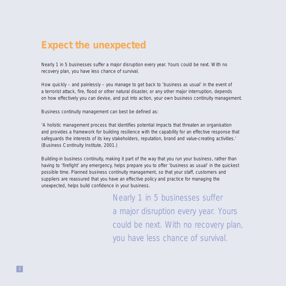### **Expect the unexpected**

Nearly 1 in 5 businesses suffer a major disruption every year. Yours could be next. With no recovery plan, you have less chance of survival.

How quickly – and painlessly – you manage to get back to 'business as usual' in the event of a terrorist attack, fire, flood or other natural disaster, or any other major interruption, depends on how effectively you can devise, and put into action, your own business continuity management.

Business continuity management can best be defined as:

'A holistic management process that identifies potential impacts that threaten an organisation and provides a framework for building resilience with the capability for an effective response that safeguards the interests of its key stakeholders, reputation, brand and value-creating activities.' (Business Continuity Institute, 2001.)

Building-in business continuity, making it part of the way that you run your business, rather than having to 'firefight' any emergency, helps prepare you to offer 'business as usual' in the quickest possible time. Planned business continuity management, so that your staff, customers and suppliers are reassured that you have an effective policy and practice for managing the unexpected, helps build confidence in your business.

> Nearly 1 in 5 businesses suffer a major disruption every year. Yours could be next. With no recovery plan, you have less chance of survival.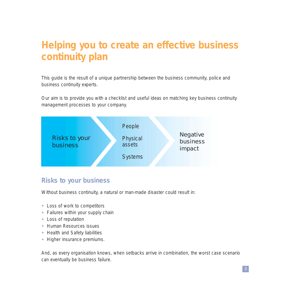## **Helping you to create an effective business continuity plan**

This guide is the result of a unique partnership between the business community, police and business continuity experts.

Our aim is to provide you with a checklist and useful ideas on matching key business continuity management processes to your company.



#### **Risks to your business**

Without business continuity, a natural or man-made disaster could result in:

- Loss of work to competitors
- Failures within your supply chain
- Loss of reputation
- Human Resources issues
- Health and Safety liabilities
- Higher insurance premiums.

And, as every organisation knows, when setbacks arrive in combination, the worst case scenario can eventually be business failure.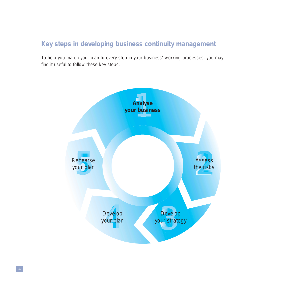#### **Key steps in developing business continuity management**

To help you match your plan to every step in your business' working processes, you may find it useful to follow these key steps.

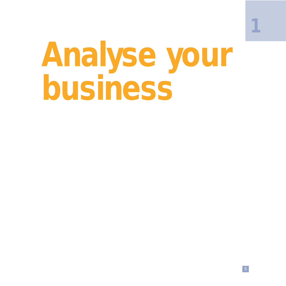## **Analyse your business**

**1**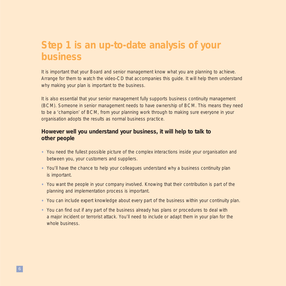## **Step 1 is an up-to-date analysis of your business**

It is important that your Board and senior management know what you are planning to achieve. Arrange for them to watch the video-CD that accompanies this guide. It will help them understand why making your plan is important to the business.

It is also essential that your senior management fully supports business continuity management (BCM). Someone in senior management needs to have ownership of BCM. This means they need to be a 'champion' of BCM, from your planning work through to making sure everyone in your organisation adopts the results as normal business practice.

#### **However well you understand your business, it will help to talk to other people**

- You need the fullest possible picture of the complex interactions inside your organisation and between you, your customers and suppliers.
- You'll have the chance to help your colleagues understand why a business continuity plan is important.
- You want the people in your company involved. Knowing that their contribution is part of the planning and implementation process is important.
- You can include expert knowledge about every part of the business within your continuity plan.
- You can find out if any part of the business already has plans or procedures to deal with a major incident or terrorist attack. You'll need to include or adapt them in your plan for the whole business.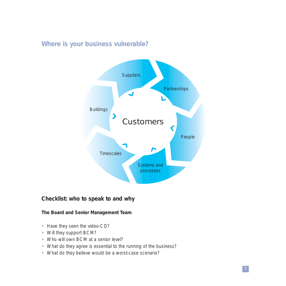#### **Where is your business vulnerable?**



#### **Checklist: who to speak to and why**

**The Board and Senior Management Team**

- Have they seen the video-CD?
- Will they support BCM?
- Who will own BCM at a senior level?
- What do they agree is essential to the running of the business?
- What do they believe would be a worst-case scenario?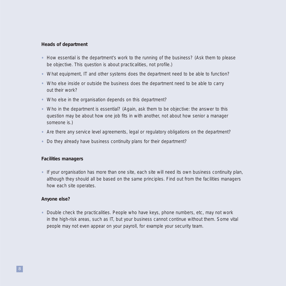#### **Heads of department**

- How essential is the department's work to the running of the business? (Ask them to please be objective. This question is about practicalities, not profile.)
- What equipment, IT and other systems does the department need to be able to function?
- Who else inside or outside the business does the department need to be able to carry out their work?
- Who else in the organisation depends on this department?
- Who in the department is essential? (Again, ask them to be objective: the answer to this question may be about how one job fits in with another, not about how senior a manager someone is.)
- Are there any service level agreements, legal or regulatory obligations on the department?
- Do they already have business continuity plans for their department?

#### **Facilities managers**

• If your organisation has more than one site, each site will need its own business continuity plan, although they should all be based on the same principles. Find out from the facilities managers how each site operates.

#### **Anyone else?**

• Double check the practicalities. People who have keys, phone numbers, etc, may not work in the high-risk areas, such as IT, but your business cannot continue without them. Some vital people may not even appear on your payroll, for example your security team.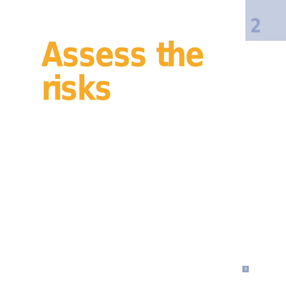**2**

## **Assess the risks**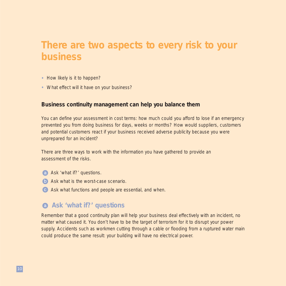## **There are two aspects to every risk to your business**

- How likely is it to happen?
- What effect will it have on your business?

#### **Business continuity management can help you balance them**

You can define your assessment in cost terms: how much could you afford to lose if an emergency prevented you from doing business for days, weeks or months? How would suppliers, customers and potential customers react if your business received adverse publicity because you were unprepared for an incident?

There are three ways to work with the information you have gathered to provide an assessment of the risks.

- a Ask 'what if?' questions.
- **b** Ask what is the worst-case scenario.
- Ask what functions and people are essential, and when.

#### **Ask 'what if?' questions**

Remember that a good continuity plan will help your business deal effectively with an incident, no matter what caused it. You don't have to be the target of terrorism for it to disrupt your power supply. Accidents such as workmen cutting through a cable or flooding from a ruptured water main could produce the same result: your building will have no electrical power.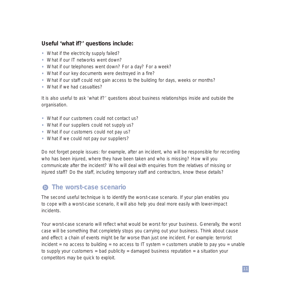#### **Useful 'what if?' questions include:**

- What if the electricity supply failed?
- What if our IT networks went down?
- What if our telephones went down? For a day? For a week?
- What if our key documents were destroyed in a fire?
- What if our staff could not gain access to the building for days, weeks or months?
- What if we had casualties?

It is also useful to ask 'what if?' questions about business relationships inside and outside the organisation.

- What if our customers could not contact us?
- What if our suppliers could not supply us?
- What if our customers could not pay us?
- What if we could not pay our suppliers?

Do not forget people issues: for example, after an incident, who will be responsible for recording who has been injured, where they have been taken and who is missing? How will you communicate after the incident? Who will deal with enquiries from the relatives of missing or injured staff? Do the staff, including temporary staff and contractors, know these details?

#### **C** The worst-case scenario

The second useful technique is to identify the worst-case scenario. If your plan enables you to cope with a worst-case scenario, it will also help you deal more easily with lower-impact incidents.

Your worst-case scenario will reflect what would be worst for your business. Generally, the worst case will be something that completely stops you carrying out your business. Think about cause and effect: a chain of events might be far worse than just one incident. For example: terrorist incident = no access to building = no access to  $IT$  system = customers unable to pay you = unable to supply your customers = bad publicity = damaged business reputation = a situation your competitors may be quick to exploit.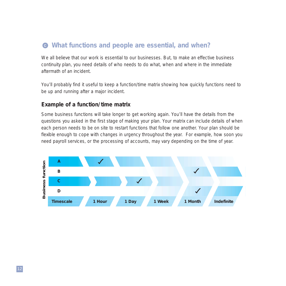#### **What functions and people are essential, and when?**

We all believe that our work is essential to our businesses. But, to make an effective business continuity plan, you need details of who needs to do what, when and where in the immediate aftermath of an incident.

You'll probably find it useful to keep a function/time matrix showing how quickly functions need to be up and running after a major incident.

#### **Example of a function/time matrix**

Some business functions will take longer to get working again. You'll have the details from the questions you asked in the first stage of making your plan. Your matrix can include details of when each person needs to be on site to restart functions that follow one another. Your plan should be flexible enough to cope with changes in urgency throughout the year. For example, how soon you need payroll services, or the processing of accounts, may vary depending on the time of year.

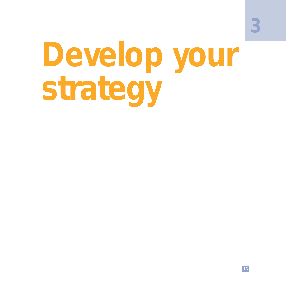**3**

## **Develop your strategy**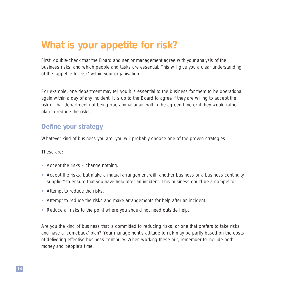## **What is your appetite for risk?**

First, double-check that the Board and senior management agree with your analysis of the business risks, and which people and tasks are essential. This will give you a clear understanding of the 'appetite for risk' within your organisation.

For example, one department may tell you it is essential to the business for them to be operational again within a day of any incident. It is up to the Board to agree if they are willing to accept the risk of that department not being operational again within the agreed time or if they would rather plan to reduce the risks.

#### **Define your strategy**

Whatever kind of business you are, you will probably choose one of the proven strategies.

These are:

- Accept the risks change nothing.
- Accept the risks, but make a mutual arrangement with another business or a business continuity supplier\* to ensure that you have help after an incident. This business could be a competitor.
- Attempt to reduce the risks.
- Attempt to reduce the risks and make arrangements for help after an incident.
- Reduce all risks to the point where you should not need outside help.

Are you the kind of business that is committed to reducing risks, or one that prefers to take risks and have a 'comeback' plan? Your management's attitude to risk may be partly based on the costs of delivering effective business continuity. When working these out, remember to include both money and people's time.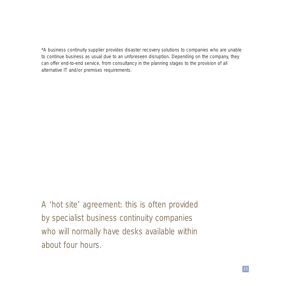\*A business continuity supplier provides disaster recovery solutions to companies who are unable to continue business as usual due to an unforeseen disruption. Depending on the company, they can offer end-to-end service, from consultancy in the planning stages to the provision of all alternative IT and/or premises requirements.

A 'hot site' agreement: this is often provided by specialist business continuity companies who will normally have desks available within about four hours.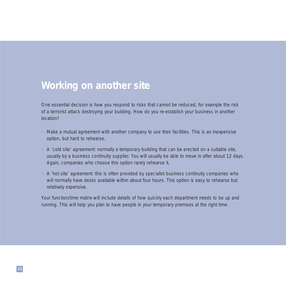### **Working on another site**

One essential decision is how you respond to risks that cannot be reduced, for example the risk of a terrorist attack destroying your building. How do you re-establish your business in another location?

- Make a mutual agreement with another company to use their facilities. This is an inexpensive option, but hard to rehearse.
- A 'cold site' agreement: normally a temporary building that can be erected on a suitable site, usually by a business continuity supplier. You will usually be able to move in after about 12 days. Again, companies who choose this option rarely rehearse it.
- A 'hot site' agreement: this is often provided by specialist business continuity companies who will normally have desks available within about four hours. This option is easy to rehearse but relatively expensive.

Your function/time matrix will include details of how quickly each department needs to be up and running. This will help you plan to have people in your temporary premises at the right time.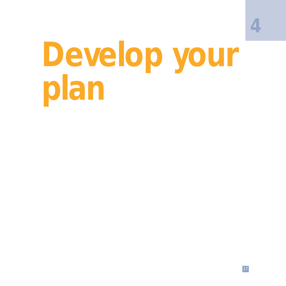## **Develop your plan**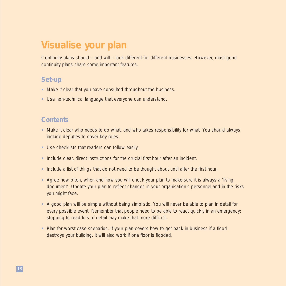## **Visualise your plan**

Continuity plans should – and will – look different for different businesses. However, most good continuity plans share some important features.

#### **Set-up**

- Make it clear that you have consulted throughout the business.
- Use non-technical language that everyone can understand.

#### **Contents**

- Make it clear who needs to do what, and who takes responsibility for what. You should always include deputies to cover key roles.
- Use checklists that readers can follow easily.
- Include clear, direct instructions for the crucial first hour after an incident.
- Include a list of things that do not need to be thought about until after the first hour.
- Agree how often, when and how you will check your plan to make sure it is always a 'living document'. Update your plan to reflect changes in your organisation's personnel and in the risks you might face.
- A good plan will be simple without being simplistic. You will never be able to plan in detail for every possible event. Remember that people need to be able to react quickly in an emergency: stopping to read lots of detail may make that more difficult.
- Plan for worst-case scenarios. If your plan covers how to get back in business if a flood destroys your building, it will also work if one floor is flooded.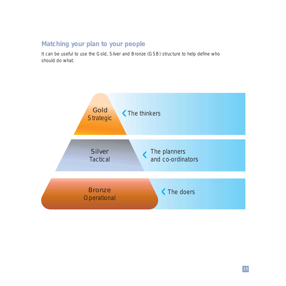#### **Matching your plan to your people**

It can be useful to use the Gold, Silver and Bronze (GSB) structure to help define who should do what.

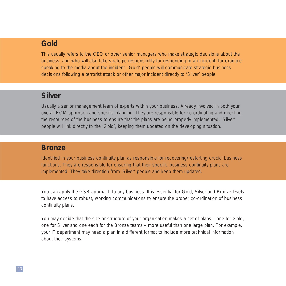#### **Gold**

This usually refers to the CEO or other senior managers who make strategic decisions about the business, and who will also take strategic responsibility for responding to an incident, for example speaking to the media about the incident. 'Gold' people will communicate strategic business decisions following a terrorist attack or other major incident directly to 'Silver' people.

#### **Silver**

Usually a senior management team of experts within your business. Already involved in both your overall BCM approach and specific planning. They are responsible for co-ordinating and directing the resources of the business to ensure that the plans are being properly implemented. 'Silver' people will link directly to the 'Gold', keeping them updated on the developing situation.

#### **Bronze**

Identified in your business continuity plan as responsible for recovering/restarting crucial business functions. They are responsible for ensuring that their specific business continuity plans are implemented. They take direction from 'Silver' people and keep them updated.

You can apply the GSB approach to any business. It is essential for Gold, Silver and Bronze levels to have access to robust, working communications to ensure the proper co-ordination of business continuity plans.

You may decide that the size or structure of your organisation makes a set of plans – one for Gold, one for Silver and one each for the Bronze teams – more useful than one large plan. For example, your IT department may need a plan in a different format to include more technical information about their systems.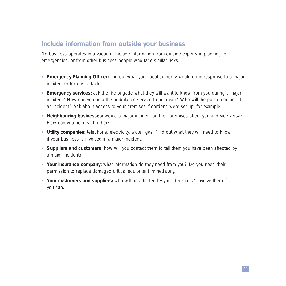#### **Include information from outside your business**

No business operates in a vacuum. Include information from outside experts in planning for emergencies, or from other business people who face similar risks.

- **Emergency Planning Officer:** find out what your local authority would do in response to a major incident or terrorist attack.
- **Emergency services:** ask the fire brigade what they will want to know from you during a major incident? How can you help the ambulance service to help you? Who will the police contact at an incident? Ask about access to your premises if cordons were set up, for example.
- **Neighbouring businesses:** would a major incident on their premises affect you and vice versa? How can you help each other?
- **Utility companies:** telephone, electricity, water, gas. Find out what they will need to know if your business is involved in a major incident.
- **Suppliers and customers:** how will you contact them to tell them you have been affected by a major incident?
- **Your insurance company:** what information do they need from you? Do you need their permission to replace damaged critical equipment immediately.
- **Your customers and suppliers:** who will be affected by your decisions? Involve them if you can.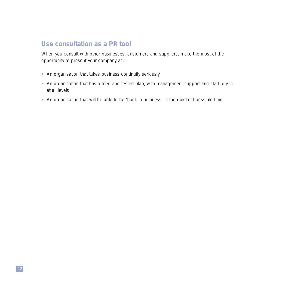#### **Use consultation as a PR tool**

When you consult with other businesses, customers and suppliers, make the most of the opportunity to present your company as:

- An organisation that takes business continuity seriously
- An organisation that has a tried and tested plan, with management support and staff buy-in at all levels
- An organisation that will be able to be 'back in business' in the quickest possible time.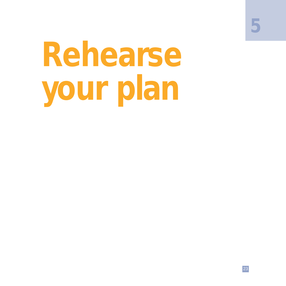**5**

# **Rehearse your plan**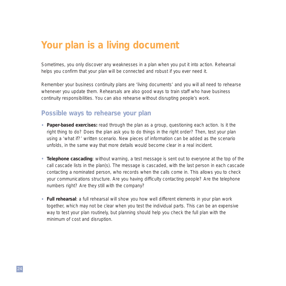## **Your plan is a living document**

Sometimes, you only discover any weaknesses in a plan when you put it into action. Rehearsal helps you confirm that your plan will be connected and robust if you ever need it.

Remember your business continuity plans are 'living documents' and you will all need to rehearse whenever you update them. Rehearsals are also good ways to train staff who have business continuity responsibilities. You can also rehearse without disrupting people's work.

#### **Possible ways to rehearse your plan**

- **Paper-based exercises:** read through the plan as a group, questioning each action. Is it the right thing to do? Does the plan ask you to do things in the right order? Then, test your plan using a 'what if?' written scenario. New pieces of information can be added as the scenario unfolds, in the same way that more details would become clear in a real incident.
- **Telephone cascading**: without warning, a test message is sent out to everyone at the top of the call cascade lists in the plan(s). The message is cascaded, with the last person in each cascade contacting a nominated person, who records when the calls come in. This allows you to check your communications structure. Are you having difficulty contacting people? Are the telephone numbers right? Are they still with the company?
- **Full rehearsal**: a full rehearsal will show you how well different elements in your plan work together, which may not be clear when you test the individual parts. This can be an expensive way to test your plan routinely, but planning should help you check the full plan with the minimum of cost and disruption.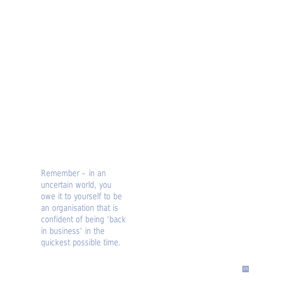Remember – in an uncertain world, you owe it to yourself to be an organisation that is confident of being 'back in business' in the quickest possible time.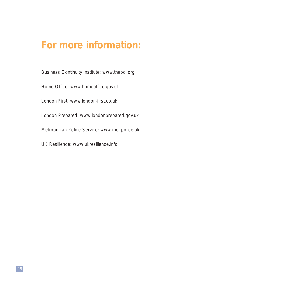## **For more information:**

Business Continuity Institute: www.thebci.org Home Office: www.homeoffice.gov.uk London First: www.london-first.co.uk London Prepared: www.londonprepared.gov.uk Metropolitan Police Service: www.met.police.uk UK Resilience: www.ukresilience.info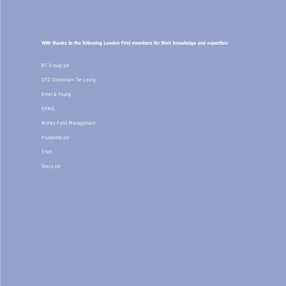**With thanks to the following London First members for their knowledge and expertise:**

BT Group plc

DTZ Debenham Tie Leung

Ernst & Young

KPMG

Morley Fund Management

Prudential plc

Tesco plc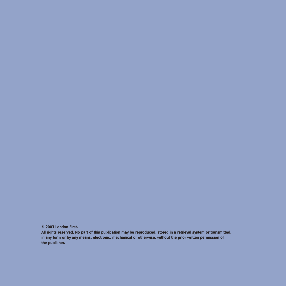**© 2003 London First.**

**All rights reserved. No part of this publication may be reproduced, stored in a retrieval system or transmitted, in any form or by any means, electronic, mechanical or otherwise, without the prior written permission of the publisher.**